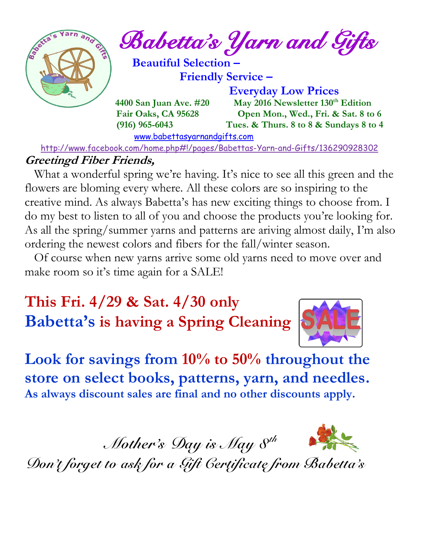

*Babetta's Yarn and Gifts* 

 **Beautiful Selection – Friendly Service –**

[www.babettasyarnandgifts.com](http://www.babettasyarnandgifts.com/)

 **Everyday Low Prices 4400 San Juan Ave. #20 May 2016 Newsletter 130th Edition Fair Oaks, CA 95628 Open Mon., Wed., Fri. & Sat. 8 to 6 (916) 965-6043 Tues. & Thurs. 8 to 8 & Sundays 8 to 4** 

<http://www.facebook.com/home.php#!/pages/Babettas-Yarn-and-Gifts/136290928302>

### **Greetingd Fiber Friends,**

What a wonderful spring we're having. It's nice to see all this green and the flowers are bloming every where. All these colors are so inspiring to the creative mind. As always Babetta's has new exciting things to choose from. I do my best to listen to all of you and choose the products you're looking for. As all the spring/summer yarns and patterns are ariving almost daily, I'm also ordering the newest colors and fibers for the fall/winter season.

 Of course when new yarns arrive some old yarns need to move over and make room so it's time again for a SALE!

**This Fri. 4/29 & Sat. 4/30 only Babetta's is having a Spring Cleaning** 



**Look for savings from 10% to 50% throughout the store on select books, patterns, yarn, and needles. As always discount sales are final and no other discounts apply.**

 *Mother's Day is May 8th*



*Don't forget to ask for a Gift Certificate from Babetta's*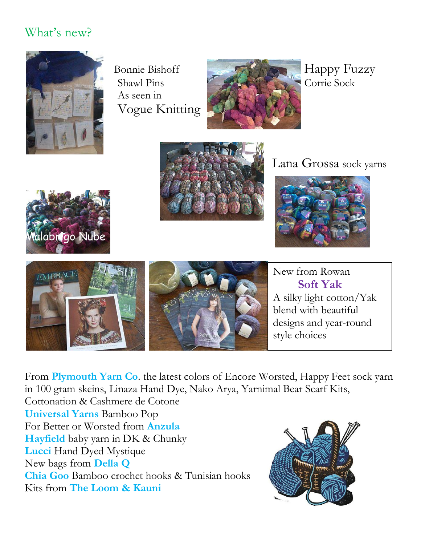## What's new?



As seen in Vogue Knitting













New from Rowan **Soft Yak** A silky light cotton/Yak blend with beautiful designs and year-round style choices

From **Plymouth Yarn Co**. the latest colors of Encore Worsted, Happy Feet sock yarn in 100 gram skeins, Linaza Hand Dye, Nako Arya, Yarnimal Bear Scarf Kits,

Cottonation & Cashmere de Cotone **Universal Yarns** Bamboo Pop For Better or Worsted from **Anzula Hayfield** baby yarn in DK & Chunky **Lucci** Hand Dyed Mystique New bags from **Della Q Chia Goo** Bamboo crochet hooks & Tunisian hooks Kits from **The Loom & Kauni**

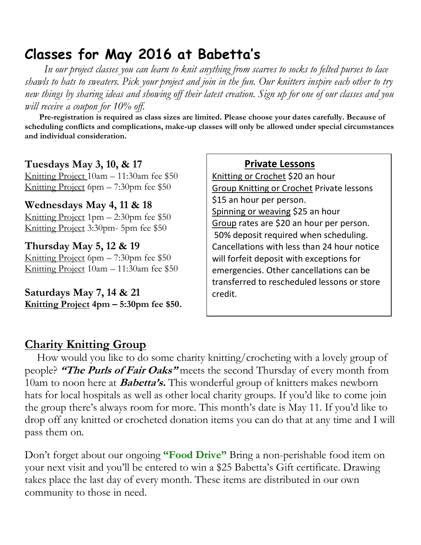## **Classes for May 2016 at Babetta's**

 *In our project classes you can learn to knit anything from scarves to socks to felted purses to lace shawls to hats to sweaters. Pick your project and join in the fun. Our knitters inspire each other to try new things by sharing ideas and showing off their latest creation. Sign up for one of our classes and you will receive a coupon for 10% off.*

 **Pre-registration is required as class sizes are limited. Please choose your dates carefully. Because of scheduling conflicts and complications, make-up classes will only be allowed under special circumstances and individual consideration.**

#### **Tuesdays May 3, 10, & 17**

Knitting Project 10am – 11:30am fee \$50 Knitting Project 6pm – 7:30pm fee \$50

#### **Wednesdays May 4, 11 & 18**

Knitting Project 1pm – 2:30pm fee \$50 Knitting Project 3:30pm- 5pm fee \$50

#### **Thursday May 5, 12 & 19**

Knitting Project 6pm – 7:30pm fee \$50 Knitting Project 10am – 11:30am fee \$50

**Saturdays May 7, 14 & 21 Knitting Project 4pm – 5:30pm fee \$50.**

#### **Private Lessons**

Knitting or Crochet \$20 an hour Group Knitting or Crochet Private lessons \$15 an hour per person. Spinning or weaving \$25 an hour Group rates are \$20 an hour per person. 50% deposit required when scheduling. Cancellations with less than 24 hour notice will forfeit deposit with exceptions for emergencies. Other cancellations can be transferred to rescheduled lessons or store credit.

### **Charity Knitting Group**

 How would you like to do some charity knitting/crocheting with a lovely group of people? **"The Purls of Fair Oaks"** meets the second Thursday of every month from 10am to noon here at **Babetta's.** This wonderful group of knitters makes newborn hats for local hospitals as well as other local charity groups. If you'd like to come join the group there's always room for more. This month's date is May 11. If you'd like to drop off any knitted or crocheted donation items you can do that at any time and I will pass them on.

Don't forget about our ongoing **"Food Drive"** Bring a non-perishable food item on your next visit and you'll be entered to win a \$25 Babetta's Gift certificate. Drawing takes place the last day of every month. These items are distributed in our own community to those in need.